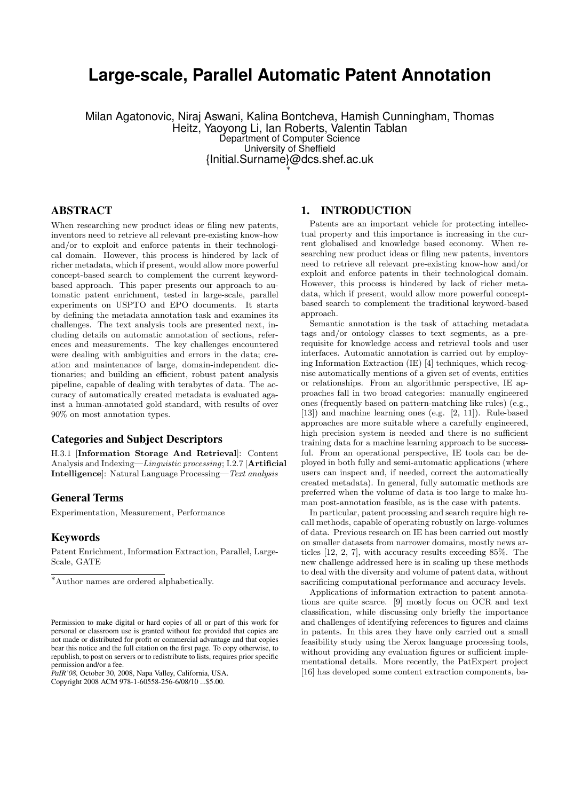# **Large-scale, Parallel Automatic Patent Annotation**

Milan Agatonovic, Niraj Aswani, Kalina Bontcheva, Hamish Cunningham, Thomas Heitz, Yaoyong Li, Ian Roberts, Valentin Tablan Department of Computer Science University of Sheffield {Initial.Surname}@dcs.shef.ac.uk ∗

## ABSTRACT

When researching new product ideas or filing new patents, inventors need to retrieve all relevant pre-existing know-how and/or to exploit and enforce patents in their technological domain. However, this process is hindered by lack of richer metadata, which if present, would allow more powerful concept-based search to complement the current keywordbased approach. This paper presents our approach to automatic patent enrichment, tested in large-scale, parallel experiments on USPTO and EPO documents. It starts by defining the metadata annotation task and examines its challenges. The text analysis tools are presented next, including details on automatic annotation of sections, references and measurements. The key challenges encountered were dealing with ambiguities and errors in the data; creation and maintenance of large, domain-independent dictionaries; and building an efficient, robust patent analysis pipeline, capable of dealing with terabytes of data. The accuracy of automatically created metadata is evaluated against a human-annotated gold standard, with results of over 90% on most annotation types.

## Categories and Subject Descriptors

H.3.1 [Information Storage And Retrieval]: Content Analysis and Indexing—Linguistic processing; I.2.7 [Artificial Intelligence]: Natural Language Processing—Text analysis

## General Terms

Experimentation, Measurement, Performance

#### Keywords

Patent Enrichment, Information Extraction, Parallel, Large-Scale, GATE

<sup>∗</sup>Author names are ordered alphabetically.

*PaIR'08,* October 30, 2008, Napa Valley, California, USA.

Copyright 2008 ACM 978-1-60558-256-6/08/10 ...\$5.00.

#### 1. INTRODUCTION

Patents are an important vehicle for protecting intellectual property and this importance is increasing in the current globalised and knowledge based economy. When researching new product ideas or filing new patents, inventors need to retrieve all relevant pre-existing know-how and/or exploit and enforce patents in their technological domain. However, this process is hindered by lack of richer metadata, which if present, would allow more powerful conceptbased search to complement the traditional keyword-based approach.

Semantic annotation is the task of attaching metadata tags and/or ontology classes to text segments, as a prerequisite for knowledge access and retrieval tools and user interfaces. Automatic annotation is carried out by employing Information Extraction (IE) [4] techniques, which recognise automatically mentions of a given set of events, entities or relationships. From an algorithmic perspective, IE approaches fall in two broad categories: manually engineered ones (frequently based on pattern-matching like rules) (e.g., [13]) and machine learning ones (e.g. [2, 11]). Rule-based approaches are more suitable where a carefully engineered, high precision system is needed and there is no sufficient training data for a machine learning approach to be successful. From an operational perspective, IE tools can be deployed in both fully and semi-automatic applications (where users can inspect and, if needed, correct the automatically created metadata). In general, fully automatic methods are preferred when the volume of data is too large to make human post-annotation feasible, as is the case with patents.

In particular, patent processing and search require high recall methods, capable of operating robustly on large-volumes of data. Previous research on IE has been carried out mostly on smaller datasets from narrower domains, mostly news articles [12, 2, 7], with accuracy results exceeding 85%. The new challenge addressed here is in scaling up these methods to deal with the diversity and volume of patent data, without sacrificing computational performance and accuracy levels.

Applications of information extraction to patent annotations are quite scarce. [9] mostly focus on OCR and text classification, while discussing only briefly the importance and challenges of identifying references to figures and claims in patents. In this area they have only carried out a small feasibility study using the Xerox language processing tools, without providing any evaluation figures or sufficient implementational details. More recently, the PatExpert project [16] has developed some content extraction components, ba-

Permission to make digital or hard copies of all or part of this work for personal or classroom use is granted without fee provided that copies are not made or distributed for profit or commercial advantage and that copies bear this notice and the full citation on the first page. To copy otherwise, to republish, to post on servers or to redistribute to lists, requires prior specific permission and/or a fee.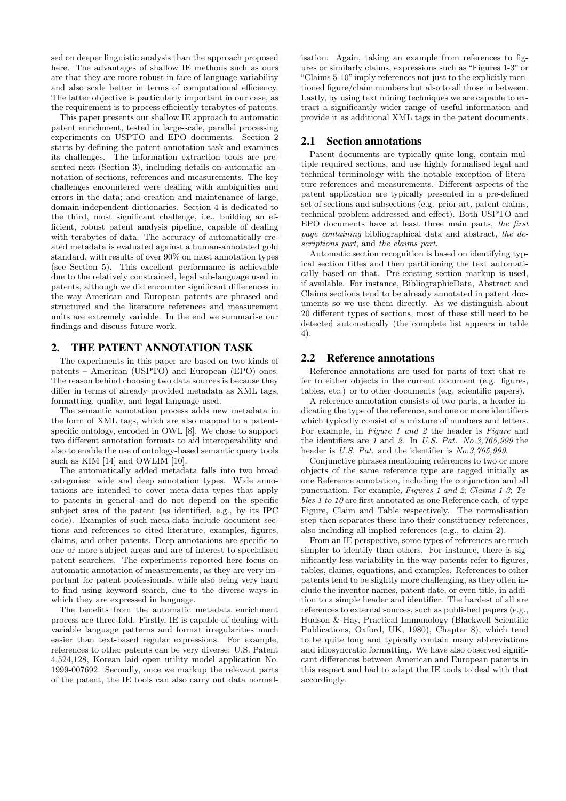sed on deeper linguistic analysis than the approach proposed here. The advantages of shallow IE methods such as ours are that they are more robust in face of language variability and also scale better in terms of computational efficiency. The latter objective is particularly important in our case, as the requirement is to process efficiently terabytes of patents.

This paper presents our shallow IE approach to automatic patent enrichment, tested in large-scale, parallel processing experiments on USPTO and EPO documents. Section 2 starts by defining the patent annotation task and examines its challenges. The information extraction tools are presented next (Section 3), including details on automatic annotation of sections, references and measurements. The key challenges encountered were dealing with ambiguities and errors in the data; and creation and maintenance of large, domain-independent dictionaries. Section 4 is dedicated to the third, most significant challenge, i.e., building an efficient, robust patent analysis pipeline, capable of dealing with terabytes of data. The accuracy of automatically created metadata is evaluated against a human-annotated gold standard, with results of over 90% on most annotation types (see Section 5). This excellent performance is achievable due to the relatively constrained, legal sub-language used in patents, although we did encounter significant differences in the way American and European patents are phrased and structured and the literature references and measurement units are extremely variable. In the end we summarise our findings and discuss future work.

# 2. THE PATENT ANNOTATION TASK

The experiments in this paper are based on two kinds of patents – American (USPTO) and European (EPO) ones. The reason behind choosing two data sources is because they differ in terms of already provided metadata as XML tags, formatting, quality, and legal language used.

The semantic annotation process adds new metadata in the form of XML tags, which are also mapped to a patentspecific ontology, encoded in OWL [8]. We chose to support two different annotation formats to aid interoperability and also to enable the use of ontology-based semantic query tools such as KIM [14] and OWLIM [10].

The automatically added metadata falls into two broad categories: wide and deep annotation types. Wide annotations are intended to cover meta-data types that apply to patents in general and do not depend on the specific subject area of the patent (as identified, e.g., by its IPC code). Examples of such meta-data include document sections and references to cited literature, examples, figures, claims, and other patents. Deep annotations are specific to one or more subject areas and are of interest to specialised patent searchers. The experiments reported here focus on automatic annotation of measurements, as they are very important for patent professionals, while also being very hard to find using keyword search, due to the diverse ways in which they are expressed in language.

The benefits from the automatic metadata enrichment process are three-fold. Firstly, IE is capable of dealing with variable language patterns and format irregularities much easier than text-based regular expressions. For example, references to other patents can be very diverse: U.S. Patent 4,524,128, Korean laid open utility model application No. 1999-007692. Secondly, once we markup the relevant parts of the patent, the IE tools can also carry out data normalisation. Again, taking an example from references to figures or similarly claims, expressions such as "Figures 1-3" or "Claims 5-10"imply references not just to the explicitly mentioned figure/claim numbers but also to all those in between. Lastly, by using text mining techniques we are capable to extract a significantly wider range of useful information and provide it as additional XML tags in the patent documents.

#### 2.1 Section annotations

Patent documents are typically quite long, contain multiple required sections, and use highly formalised legal and technical terminology with the notable exception of literature references and measurements. Different aspects of the patent application are typically presented in a pre-defined set of sections and subsections (e.g. prior art, patent claims, technical problem addressed and effect). Both USPTO and EPO documents have at least three main parts, the first page containing bibliographical data and abstract, the descriptions part, and the claims part.

Automatic section recognition is based on identifying typical section titles and then partitioning the text automatically based on that. Pre-existing section markup is used, if available. For instance, BibliographicData, Abstract and Claims sections tend to be already annotated in patent documents so we use them directly. As we distinguish about 20 different types of sections, most of these still need to be detected automatically (the complete list appears in table 4).

#### 2.2 Reference annotations

Reference annotations are used for parts of text that refer to either objects in the current document (e.g. figures, tables, etc.) or to other documents (e.g. scientific papers).

A reference annotation consists of two parts, a header indicating the type of the reference, and one or more identifiers which typically consist of a mixture of numbers and letters. For example, in Figure 1 and 2 the header is Figure and the identifiers are 1 and 2. In U.S. Pat.  $No.3,765.999$  the header is U.S. Pat. and the identifier is  $No.3,765,999$ .

Conjunctive phrases mentioning references to two or more objects of the same reference type are tagged initially as one Reference annotation, including the conjunction and all punctuation. For example, Figures 1 and 2; Claims 1-3; Tables 1 to 10 are first annotated as one Reference each, of type Figure, Claim and Table respectively. The normalisation step then separates these into their constituency references, also including all implied references (e.g., to claim 2).

From an IE perspective, some types of references are much simpler to identify than others. For instance, there is significantly less variability in the way patents refer to figures, tables, claims, equations, and examples. References to other patents tend to be slightly more challenging, as they often include the inventor names, patent date, or even title, in addition to a simple header and identifier. The hardest of all are references to external sources, such as published papers (e.g., Hudson & Hay, Practical Immunology (Blackwell Scientific Publications, Oxford, UK, 1980), Chapter 8), which tend to be quite long and typically contain many abbreviations and idiosyncratic formatting. We have also observed significant differences between American and European patents in this respect and had to adapt the IE tools to deal with that accordingly.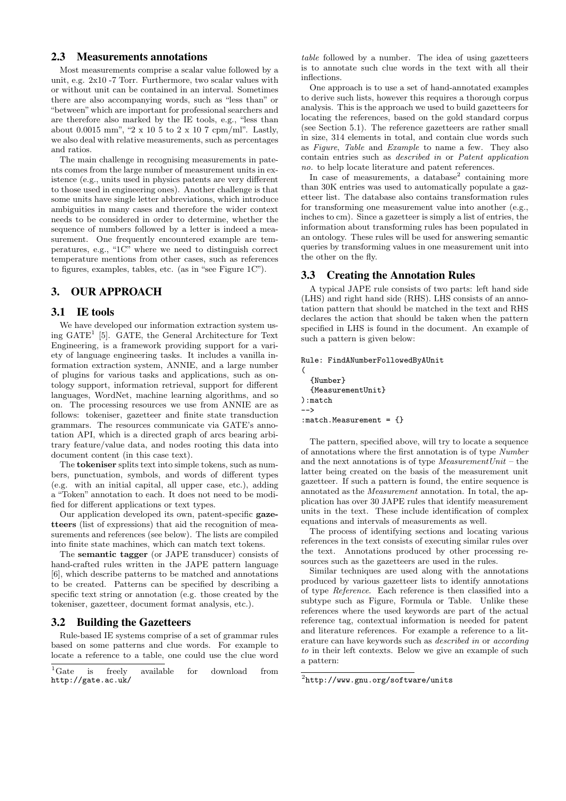## 2.3 Measurements annotations

Most measurements comprise a scalar value followed by a unit, e.g. 2x10 -7 Torr. Furthermore, two scalar values with or without unit can be contained in an interval. Sometimes there are also accompanying words, such as "less than" or "between"which are important for professional searchers and are therefore also marked by the IE tools, e.g., "less than about 0.0015 mm", "2 x 10 5 to 2 x 10 7 cpm/ml". Lastly, we also deal with relative measurements, such as percentages and ratios.

The main challenge in recognising measurements in patents comes from the large number of measurement units in existence (e.g., units used in physics patents are very different to those used in engineering ones). Another challenge is that some units have single letter abbreviations, which introduce ambiguities in many cases and therefore the wider context needs to be considered in order to determine, whether the sequence of numbers followed by a letter is indeed a measurement. One frequently encountered example are temperatures, e.g., "1C" where we need to distinguish correct temperature mentions from other cases, such as references to figures, examples, tables, etc. (as in "see Figure 1C").

# 3. OUR APPROACH

### 3.1 IE tools

We have developed our information extraction system using GATE<sup>1</sup> [5]. GATE, the General Architecture for Text Engineering, is a framework providing support for a variety of language engineering tasks. It includes a vanilla information extraction system, ANNIE, and a large number of plugins for various tasks and applications, such as ontology support, information retrieval, support for different languages, WordNet, machine learning algorithms, and so on. The processing resources we use from ANNIE are as follows: tokeniser, gazetteer and finite state transduction grammars. The resources communicate via GATE's annotation API, which is a directed graph of arcs bearing arbitrary feature/value data, and nodes rooting this data into document content (in this case text).

The tokeniser splits text into simple tokens, such as numbers, punctuation, symbols, and words of different types (e.g. with an initial capital, all upper case, etc.), adding a "Token" annotation to each. It does not need to be modified for different applications or text types.

Our application developed its own, patent-specific gazetteers (list of expressions) that aid the recognition of measurements and references (see below). The lists are compiled into finite state machines, which can match text tokens.

The semantic tagger (or JAPE transducer) consists of hand-crafted rules written in the JAPE pattern language [6], which describe patterns to be matched and annotations to be created. Patterns can be specified by describing a specific text string or annotation (e.g. those created by the tokeniser, gazetteer, document format analysis, etc.).

#### 3.2 Building the Gazetteers

Rule-based IE systems comprise of a set of grammar rules based on some patterns and clue words. For example to locate a reference to a table, one could use the clue word

table followed by a number. The idea of using gazetteers is to annotate such clue words in the text with all their inflections.

One approach is to use a set of hand-annotated examples to derive such lists, however this requires a thorough corpus analysis. This is the approach we used to build gazetteers for locating the references, based on the gold standard corpus (see Section 5.1). The reference gazetteers are rather small in size, 314 elements in total, and contain clue words such as Figure, Table and Example to name a few. They also contain entries such as described in or Patent application no. to help locate literature and patent references.

In case of measurements, a database<sup>2</sup> containing more than 30K entries was used to automatically populate a gazetteer list. The database also contains transformation rules for transforming one measurement value into another (e.g., inches to cm). Since a gazetteer is simply a list of entries, the information about transforming rules has been populated in an ontology. These rules will be used for answering semantic queries by transforming values in one measurement unit into the other on the fly.

#### 3.3 Creating the Annotation Rules

A typical JAPE rule consists of two parts: left hand side (LHS) and right hand side (RHS). LHS consists of an annotation pattern that should be matched in the text and RHS declares the action that should be taken when the pattern specified in LHS is found in the document. An example of such a pattern is given below:

#### Rule: FindANumberFollowedByAUnit

( {Number} {MeasurementUnit} ):match  $\rightarrow$ :match.Measurement = {}

The pattern, specified above, will try to locate a sequence of annotations where the first annotation is of type Number and the next annotations is of type  $MeasurementUnit -$  the latter being created on the basis of the measurement unit gazetteer. If such a pattern is found, the entire sequence is annotated as the Measurement annotation. In total, the application has over 30 JAPE rules that identify measurement units in the text. These include identification of complex equations and intervals of measurements as well.

The process of identifying sections and locating various references in the text consists of executing similar rules over the text. Annotations produced by other processing resources such as the gazetteers are used in the rules.

Similar techniques are used along with the annotations produced by various gazetteer lists to identify annotations of type Reference. Each reference is then classified into a subtype such as Figure, Formula or Table. Unlike these references where the used keywords are part of the actual reference tag, contextual information is needed for patent and literature references. For example a reference to a literature can have keywords such as described in or according to in their left contexts. Below we give an example of such a pattern:

<sup>&</sup>lt;sup>1</sup>Gate is freely available for download from http://gate.ac.uk/

<sup>2</sup> http://www.gnu.org/software/units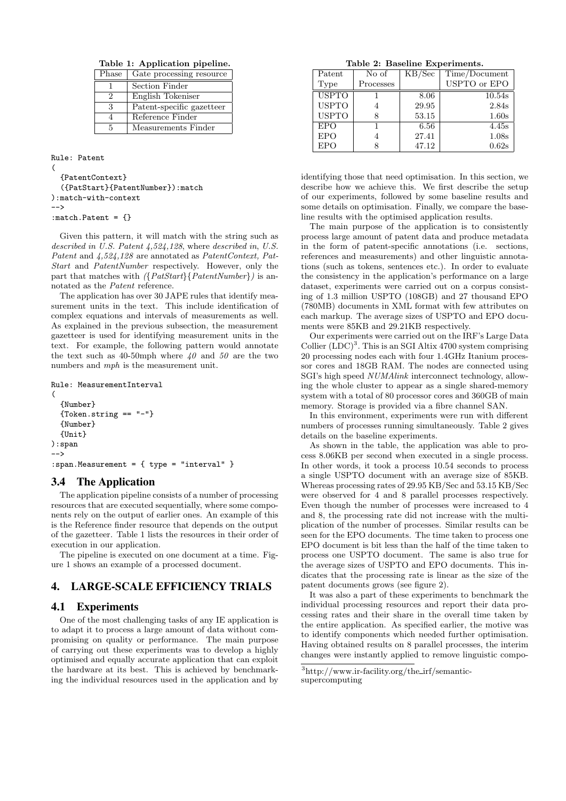Table 1: Application pipeline.

| Phase | Gate processing resource  |
|-------|---------------------------|
|       | Section Finder            |
|       | English Tokeniser         |
| 3     | Patent-specific gazetteer |
|       | Reference Finder          |
| ц     | Measurements Finder       |

Rule: Patent ( {PatentContext} ({PatStart}{PatentNumber}):match ):match-with-context --> :match.Patent = {}

Given this pattern, it will match with the string such as described in U.S. Patent 4,524,128, where described in, U.S. Patent and  $\lambda$ , 524, 128 are annotated as PatentContext, Pat-Start and PatentNumber respectively. However, only the part that matches with  $({\text{FastStart}}{\text{Start}})$  is annotated as the Patent reference.

The application has over 30 JAPE rules that identify measurement units in the text. This include identification of complex equations and intervals of measurements as well. As explained in the previous subsection, the measurement gazetteer is used for identifying measurement units in the text. For example, the following pattern would annotate the text such as 40-50mph where  $40$  and 50 are the two numbers and mph is the measurement unit.

```
Rule: MeasurementInterval
(
  {Number}
  {Token} . string == "-"}{Number}
  {Unit}
):span
-->
:span.Measurement = { type = "interval" }
```
# 3.4 The Application

The application pipeline consists of a number of processing resources that are executed sequentially, where some components rely on the output of earlier ones. An example of this is the Reference finder resource that depends on the output of the gazetteer. Table 1 lists the resources in their order of execution in our application.

The pipeline is executed on one document at a time. Figure 1 shows an example of a processed document.

# 4. LARGE-SCALE EFFICIENCY TRIALS

## 4.1 Experiments

One of the most challenging tasks of any IE application is to adapt it to process a large amount of data without compromising on quality or performance. The main purpose of carrying out these experiments was to develop a highly optimised and equally accurate application that can exploit the hardware at its best. This is achieved by benchmarking the individual resources used in the application and by

Table 2: Baseline Experiments.

| Patent       | No of     | KB/Sec | Time/Document |
|--------------|-----------|--------|---------------|
| Type         | Processes |        | USPTO or EPO  |
| <b>USPTO</b> |           | 8.06   | 10.54s        |
| <b>USPTO</b> | 4         | 29.95  | 2.84s         |
| <b>USPTO</b> | 8         | 53.15  | 1.60s         |
| EPO          |           | 6.56   | 4.45s         |
| EPO          |           | 27.41  | 1.08s         |
| <b>EPO</b>   |           | 47.12  | 0.62s         |

identifying those that need optimisation. In this section, we describe how we achieve this. We first describe the setup of our experiments, followed by some baseline results and some details on optimisation. Finally, we compare the baseline results with the optimised application results.

The main purpose of the application is to consistently process large amount of patent data and produce metadata in the form of patent-specific annotations (i.e. sections, references and measurements) and other linguistic annotations (such as tokens, sentences etc.). In order to evaluate the consistency in the application's performance on a large dataset, experiments were carried out on a corpus consisting of 1.3 million USPTO (108GB) and 27 thousand EPO (780MB) documents in XML format with few attributes on each markup. The average sizes of USPTO and EPO documents were 85KB and 29.21KB respectively.

Our experiments were carried out on the IRF's Large Data Collier  $(LDC)^3$ . This is an SGI Altix 4700 system comprising 20 processing nodes each with four 1.4GHz Itanium processor cores and 18GB RAM. The nodes are connected using SGI's high speed NUMAlink interconnect technology, allowing the whole cluster to appear as a single shared-memory system with a total of 80 processor cores and 360GB of main memory. Storage is provided via a fibre channel SAN.

In this environment, experiments were run with different numbers of processes running simultaneously. Table 2 gives details on the baseline experiments.

As shown in the table, the application was able to process 8.06KB per second when executed in a single process. In other words, it took a process 10.54 seconds to process a single USPTO document with an average size of 85KB. Whereas processing rates of 29.95 KB/Sec and 53.15 KB/Sec were observed for 4 and 8 parallel processes respectively. Even though the number of processes were increased to 4 and 8, the processing rate did not increase with the multiplication of the number of processes. Similar results can be seen for the EPO documents. The time taken to process one EPO document is bit less than the half of the time taken to process one USPTO document. The same is also true for the average sizes of USPTO and EPO documents. This indicates that the processing rate is linear as the size of the patent documents grows (see figure 2).

It was also a part of these experiments to benchmark the individual processing resources and report their data processing rates and their share in the overall time taken by the entire application. As specified earlier, the motive was to identify components which needed further optimisation. Having obtained results on 8 parallel processes, the interim changes were instantly applied to remove linguistic compo-

<sup>3</sup>http://www.ir-facility.org/the irf/semanticsupercomputing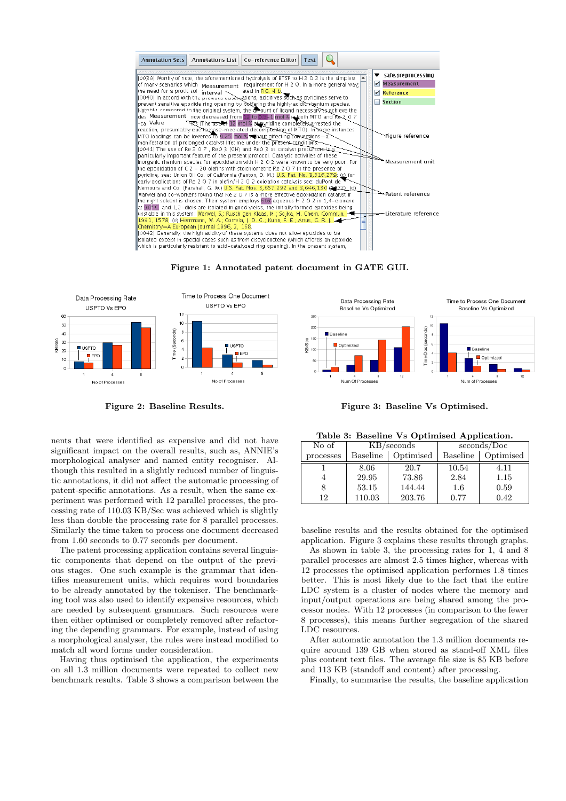





Figure 2: Baseline Results.

nents that were identified as expensive and did not have significant impact on the overall results, such as, ANNIE's morphological analyser and named entity recogniser. Although this resulted in a slightly reduced number of linguistic annotations, it did not affect the automatic processing of patent-specific annotations. As a result, when the same experiment was performed with 12 parallel processes, the processing rate of 110.03 KB/Sec was achieved which is slightly less than double the processing rate for 8 parallel processes. Similarly the time taken to process one document decreased from 1.60 seconds to 0.77 seconds per document.

The patent processing application contains several linguistic components that depend on the output of the previous stages. One such example is the grammar that identifies measurement units, which requires word boundaries to be already annotated by the tokeniser. The benchmarking tool was also used to identify expensive resources, which are needed by subsequent grammars. Such resources were then either optimised or completely removed after refactoring the depending grammars. For example, instead of using a morphological analyser, the rules were instead modified to match all word forms under consideration.

Having thus optimised the application, the experiments on all 1.3 million documents were repeated to collect new benchmark results. Table 3 shows a comparison between the

Figure 3: Baseline Vs Optimised.

Table 3: Baseline Vs Optimised Application.

| No of     | $KB$ /seconds |           | seconds/Doc |           |
|-----------|---------------|-----------|-------------|-----------|
| processes | Baseline      | Optimised | Baseline    | Optimised |
|           | 8.06          | 20.7      | 10.54       | 4.11      |
|           | 29.95         | 73.86     | 2.84        | 1.15      |
|           | 53.15         | 144.44    | 1.6         | 0.59      |
| 12        | 110.03        | 203.76    | 0.77        | 0.42      |

baseline results and the results obtained for the optimised application. Figure 3 explains these results through graphs.

As shown in table 3, the processing rates for 1, 4 and 8 parallel processes are almost 2.5 times higher, whereas with 12 processes the optimised application performes 1.8 times better. This is most likely due to the fact that the entire LDC system is a cluster of nodes where the memory and input/output operations are being shared among the processor nodes. With 12 processes (in comparison to the fewer 8 processes), this means further segregation of the shared LDC resources.

After automatic annotation the 1.3 million documents require around 139 GB when stored as stand-off XML files plus content text files. The average file size is 85 KB before and 113 KB (standoff and content) after processing.

Finally, to summarise the results, the baseline application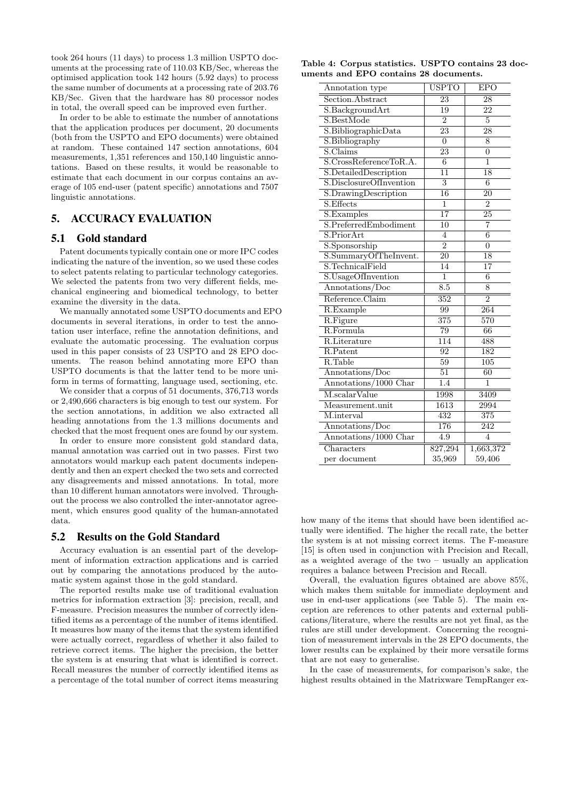took 264 hours (11 days) to process 1.3 million USPTO documents at the processing rate of 110.03 KB/Sec, whereas the optimised application took 142 hours (5.92 days) to process the same number of documents at a processing rate of 203.76 KB/Sec. Given that the hardware has 80 processor nodes in total, the overall speed can be improved even further.

In order to be able to estimate the number of annotations that the application produces per document, 20 documents (both from the USPTO and EPO documents) were obtained at random. These contained 147 section annotations, 604 measurements, 1,351 references and 150,140 linguistic annotations. Based on these results, it would be reasonable to estimate that each document in our corpus contains an average of 105 end-user (patent specific) annotations and 7507 linguistic annotations.

# 5. ACCURACY EVALUATION

### 5.1 Gold standard

Patent documents typically contain one or more IPC codes indicating the nature of the invention, so we used these codes to select patents relating to particular technology categories. We selected the patents from two very different fields, mechanical engineering and biomedical technology, to better examine the diversity in the data.

We manually annotated some USPTO documents and EPO documents in several iterations, in order to test the annotation user interface, refine the annotation definitions, and evaluate the automatic processing. The evaluation corpus used in this paper consists of 23 USPTO and 28 EPO documents. The reason behind annotating more EPO than USPTO documents is that the latter tend to be more uniform in terms of formatting, language used, sectioning, etc.

We consider that a corpus of 51 documents, 376,713 words or 2,490,666 characters is big enough to test our system. For the section annotations, in addition we also extracted all heading annotations from the 1.3 millions documents and checked that the most frequent ones are found by our system.

In order to ensure more consistent gold standard data, manual annotation was carried out in two passes. First two annotators would markup each patent documents independently and then an expert checked the two sets and corrected any disagreements and missed annotations. In total, more than 10 different human annotators were involved. Throughout the process we also controlled the inter-annotator agreement, which ensures good quality of the human-annotated data.

#### 5.2 Results on the Gold Standard

Accuracy evaluation is an essential part of the development of information extraction applications and is carried out by comparing the annotations produced by the automatic system against those in the gold standard.

The reported results make use of traditional evaluation metrics for information extraction [3]: precision, recall, and F-measure. Precision measures the number of correctly identified items as a percentage of the number of items identified. It measures how many of the items that the system identified were actually correct, regardless of whether it also failed to retrieve correct items. The higher the precision, the better the system is at ensuring that what is identified is correct. Recall measures the number of correctly identified items as a percentage of the total number of correct items measuring

| Table 4: Corpus statistics. USPTO contains 23 doc- |  |
|----------------------------------------------------|--|
| uments and EPO contains 28 documents.              |  |

| Annotation type         | <b>USPTO</b>     | EPO             |
|-------------------------|------------------|-----------------|
| Section.Abstract        | $\overline{23}$  | $\overline{28}$ |
| S.BackgroundArt         | 19               | $\overline{22}$ |
| S.BestMode              | $\overline{2}$   | 5               |
| S.BibliographicData     | $\overline{23}$  | $\overline{28}$ |
| S.Bibliography          | $\overline{0}$   | $\overline{8}$  |
| $S$ . Claims            | $\overline{23}$  | $\overline{0}$  |
| S.CrossReferenceToR.A.  | 6                | $\mathbf{1}$    |
| S.DetailedDescription   | $\overline{11}$  | $\overline{18}$ |
| S.DisclosureOfInvention | $\overline{3}$   | $\overline{6}$  |
| S.DrawingDescription    | $\overline{16}$  | $\overline{20}$ |
| S.Effects               | $\overline{1}$   | $\overline{2}$  |
| S.Examples              | $\overline{17}$  | 25              |
| S.PreferredEmbodiment   | $\overline{10}$  | $\overline{7}$  |
| S.PriorArt              | 4                | $\overline{6}$  |
| S.Sponsorship           | $\overline{2}$   | $\overline{0}$  |
| S.SummaryOfTheInvent.   | 20               | 18              |
| S.TechnicalField        | $\overline{14}$  | $\overline{17}$ |
| S.UsageOfInvention      | ī                | $\overline{6}$  |
| Annotations/Doc         | $\overline{8.5}$ | $\overline{8}$  |
| Reference.Claim         | $\overline{352}$ | $\overline{2}$  |
| R.Example               | 99               | 264             |
| R.Figure                | $\overline{375}$ | 570             |
| R.Formula               | $\overline{79}$  | 66              |
| R.Literature            | 114              | 488             |
| R.Patent                | 92               | 182             |
| R.Table                 | $\overline{59}$  | 105             |
| Annotations/Doc         | $\overline{51}$  | 60              |
| Annotations/1000 Char   | $\overline{1.4}$ | $\mathbf{1}$    |
| M.scalarValue           | 1998             | 3409            |
| Measurement.unit        | 1613             | 2994            |
| M.interval              | 432              | 375             |
| Annotations/Doc         | 176              | 242             |
| Annotations/1000 Char   | $\overline{4.9}$ | $\overline{4}$  |
| Characters              | 827,294          | 1,663,372       |
| per document            | 35,969           | 59,406          |

how many of the items that should have been identified actually were identified. The higher the recall rate, the better the system is at not missing correct items. The F-measure [15] is often used in conjunction with Precision and Recall, as a weighted average of the two – usually an application requires a balance between Precision and Recall.

Overall, the evaluation figures obtained are above 85%, which makes them suitable for immediate deployment and use in end-user applications (see Table 5). The main exception are references to other patents and external publications/literature, where the results are not yet final, as the rules are still under development. Concerning the recognition of measurement intervals in the 28 EPO documents, the lower results can be explained by their more versatile forms that are not easy to generalise.

In the case of measurements, for comparison's sake, the highest results obtained in the Matrixware TempRanger ex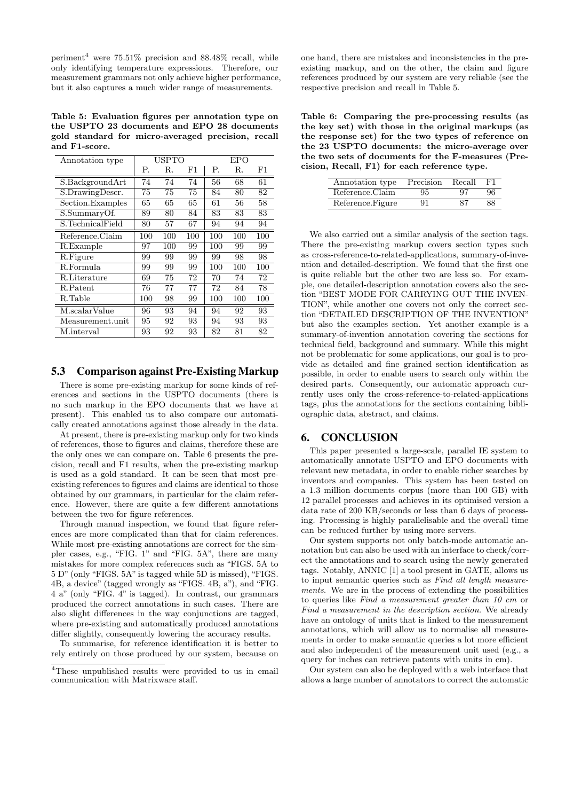periment<sup>4</sup> were  $75.51\%$  precision and  $88.48\%$  recall, while only identifying temperature expressions. Therefore, our measurement grammars not only achieve higher performance, but it also captures a much wider range of measurements.

Table 5: Evaluation figures per annotation type on the USPTO 23 documents and EPO 28 documents gold standard for micro-averaged precision, recall and F1-score.

| Annotation type  |     | USPTO |     |     | EPO |     |
|------------------|-----|-------|-----|-----|-----|-----|
|                  | Р.  | R.    | F1  | Р.  | R.  | F1  |
| S.BackgroundArt  | 74  | 74    | 74  | 56  | 68  | 61  |
| S.DrawingDescr.  | 75  | 75    | 75  | 84  | 80  | 82  |
| Section.Examples | 65  | 65    | 65  | 61  | 56  | 58  |
| S.SummaryOf.     | 89  | 80    | 84  | 83  | 83  | 83  |
| S.TechnicalField | 80  | 57    | 67  | 94  | 94  | 94  |
| Reference.Claim  | 100 | 100   | 100 | 100 | 100 | 100 |
| R.Example        | 97  | 100   | 99  | 100 | 99  | 99  |
| R.Figure         | 99  | 99    | 99  | 99  | 98  | 98  |
| R.Formula        | 99  | 99    | 99  | 100 | 100 | 100 |
| R.Literature     | 69  | 75    | 72  | 70  | 74  | 72  |
| R.Patent         | 76  | 77    | 77  | 72  | 84  | 78  |
| R.Table          | 100 | 98    | 99  | 100 | 100 | 100 |
| M.scalarValue    | 96  | 93    | 94  | 94  | 92  | 93  |
| Measurement.unit | 95  | 92    | 93  | 94  | 93  | 93  |
| M.interval       | 93  | 92    | 93  | 82  | 81  | 82  |

## 5.3 Comparison against Pre-Existing Markup

There is some pre-existing markup for some kinds of references and sections in the USPTO documents (there is no such markup in the EPO documents that we have at present). This enabled us to also compare our automatically created annotations against those already in the data.

At present, there is pre-existing markup only for two kinds of references, those to figures and claims, therefore these are the only ones we can compare on. Table 6 presents the precision, recall and F1 results, when the pre-existing markup is used as a gold standard. It can be seen that most preexisting references to figures and claims are identical to those obtained by our grammars, in particular for the claim reference. However, there are quite a few different annotations between the two for figure references.

Through manual inspection, we found that figure references are more complicated than that for claim references. While most pre-existing annotations are correct for the simpler cases, e.g., "FIG. 1" and "FIG. 5A", there are many mistakes for more complex references such as "FIGS. 5A to 5 D" (only "FIGS. 5A" is tagged while 5D is missed), "FIGS. 4B, a device" (tagged wrongly as "FIGS. 4B, a"), and "FIG. 4 a" (only "FIG. 4" is tagged). In contrast, our grammars produced the correct annotations in such cases. There are also slight differences in the way conjunctions are tagged, where pre-existing and automatically produced annotations differ slightly, consequently lowering the accuracy results.

To summarise, for reference identification it is better to rely entirely on those produced by our system, because on one hand, there are mistakes and inconsistencies in the preexisting markup, and on the other, the claim and figure references produced by our system are very reliable (see the respective precision and recall in Table 5.

Table 6: Comparing the pre-processing results (as the key set) with those in the original markups (as the response set) for the two types of reference on the 23 USPTO documents: the micro-average over the two sets of documents for the F-measures (Precision, Recall, F1) for each reference type.

| Annotation type  | Precision | Recall |    |
|------------------|-----------|--------|----|
| Reference.Claim  | 95        |        | 96 |
| Reference.Figure |           |        |    |

We also carried out a similar analysis of the section tags. There the pre-existing markup covers section types such as cross-reference-to-related-applications, summary-of-invention and detailed-description. We found that the first one is quite reliable but the other two are less so. For example, one detailed-description annotation covers also the section "BEST MODE FOR CARRYING OUT THE INVEN-TION", while another one covers not only the correct section "DETAILED DESCRIPTION OF THE INVENTION" but also the examples section. Yet another example is a summary-of-invention annotation covering the sections for technical field, background and summary. While this might not be problematic for some applications, our goal is to provide as detailed and fine grained section identification as possible, in order to enable users to search only within the desired parts. Consequently, our automatic approach currently uses only the cross-reference-to-related-applications tags, plus the annotations for the sections containing bibliographic data, abstract, and claims.

#### 6. CONCLUSION

This paper presented a large-scale, parallel IE system to automatically annotate USPTO and EPO documents with relevant new metadata, in order to enable richer searches by inventors and companies. This system has been tested on a 1.3 million documents corpus (more than 100 GB) with 12 parallel processes and achieves in its optimised version a data rate of 200 KB/seconds or less than 6 days of processing. Processing is highly parallelisable and the overall time can be reduced further by using more servers.

Our system supports not only batch-mode automatic annotation but can also be used with an interface to check/correct the annotations and to search using the newly generated tags. Notably, ANNIC [1] a tool present in GATE, allows us to input semantic queries such as Find all length measurements. We are in the process of extending the possibilities to queries like Find a measurement greater than 10 cm or Find a measurement in the description section. We already have an ontology of units that is linked to the measurement annotations, which will allow us to normalise all measurements in order to make semantic queries a lot more efficient and also independent of the measurement unit used (e.g., a query for inches can retrieve patents with units in cm).

Our system can also be deployed with a web interface that allows a large number of annotators to correct the automatic

<sup>4</sup>These unpublished results were provided to us in email communication with Matrixware staff.